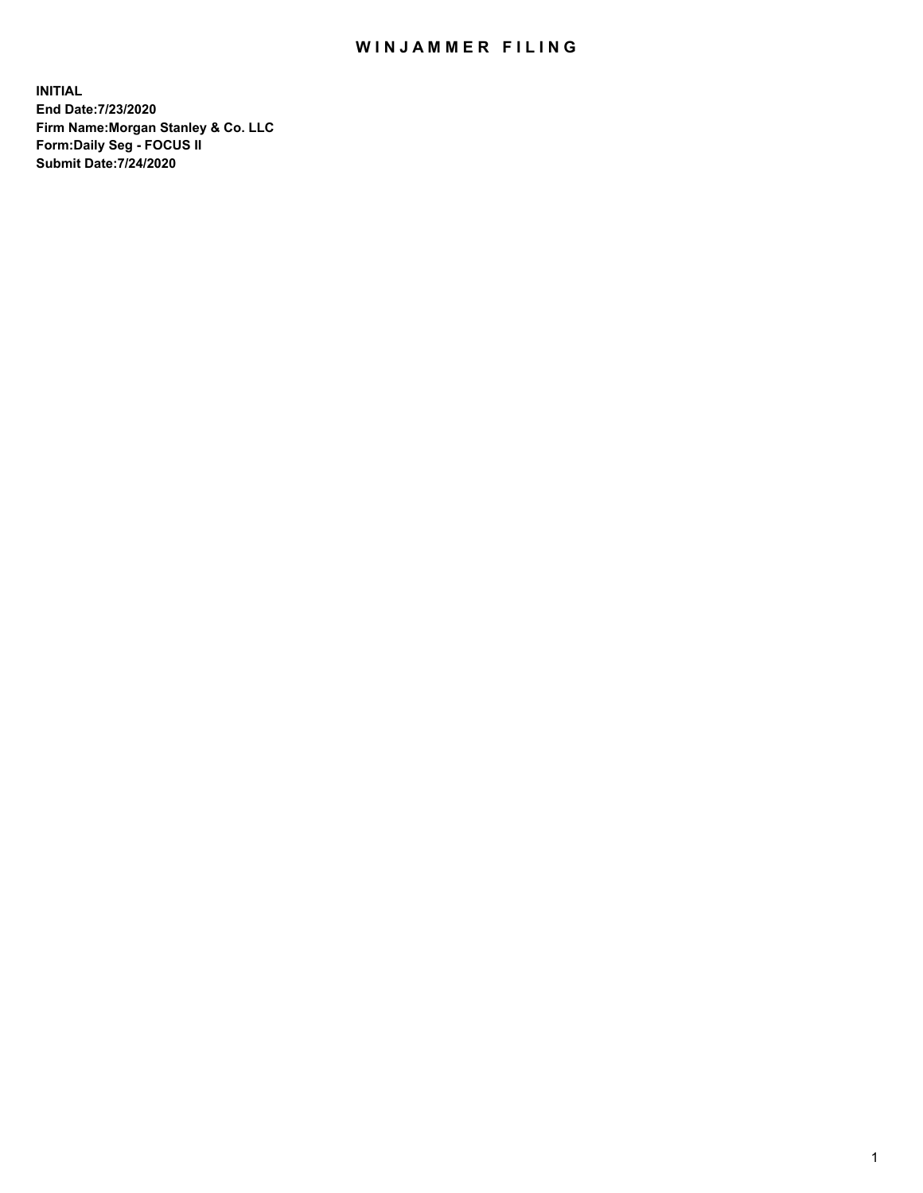## WIN JAMMER FILING

**INITIAL End Date:7/23/2020 Firm Name:Morgan Stanley & Co. LLC Form:Daily Seg - FOCUS II Submit Date:7/24/2020**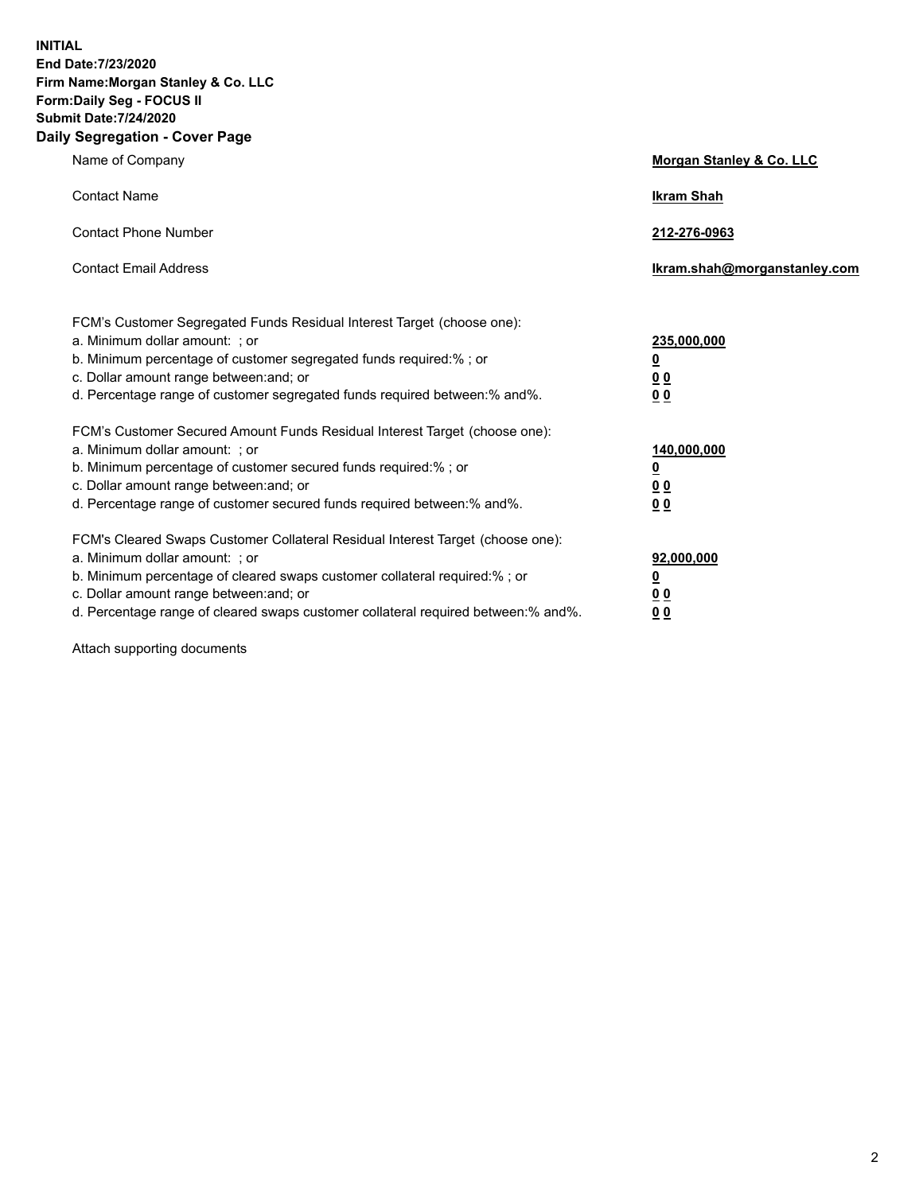**INITIAL End Date:7/23/2020 Firm Name:Morgan Stanley & Co. LLC Form:Daily Seg - FOCUS II Submit Date:7/24/2020 Daily Segregation - Cover Page**

| Name of Company                                                                                                                                                                                                                                                                                                                | Morgan Stanley & Co. LLC                                |
|--------------------------------------------------------------------------------------------------------------------------------------------------------------------------------------------------------------------------------------------------------------------------------------------------------------------------------|---------------------------------------------------------|
| <b>Contact Name</b>                                                                                                                                                                                                                                                                                                            | <b>Ikram Shah</b>                                       |
| <b>Contact Phone Number</b>                                                                                                                                                                                                                                                                                                    | 212-276-0963                                            |
| <b>Contact Email Address</b>                                                                                                                                                                                                                                                                                                   | Ikram.shah@morganstanley.com                            |
| FCM's Customer Segregated Funds Residual Interest Target (choose one):<br>a. Minimum dollar amount: ; or<br>b. Minimum percentage of customer segregated funds required:% ; or<br>c. Dollar amount range between: and; or<br>d. Percentage range of customer segregated funds required between:% and%.                         | 235,000,000<br><u>0</u><br><u>00</u><br><u>00</u>       |
| FCM's Customer Secured Amount Funds Residual Interest Target (choose one):<br>a. Minimum dollar amount: ; or<br>b. Minimum percentage of customer secured funds required:%; or<br>c. Dollar amount range between: and; or<br>d. Percentage range of customer secured funds required between:% and%.                            | 140,000,000<br><u>0</u><br><u>0 0</u><br>0 <sub>0</sub> |
| FCM's Cleared Swaps Customer Collateral Residual Interest Target (choose one):<br>a. Minimum dollar amount: ; or<br>b. Minimum percentage of cleared swaps customer collateral required:% ; or<br>c. Dollar amount range between: and; or<br>d. Percentage range of cleared swaps customer collateral required between:% and%. | 92,000,000<br><u>0</u><br><u>00</u><br>00               |

Attach supporting documents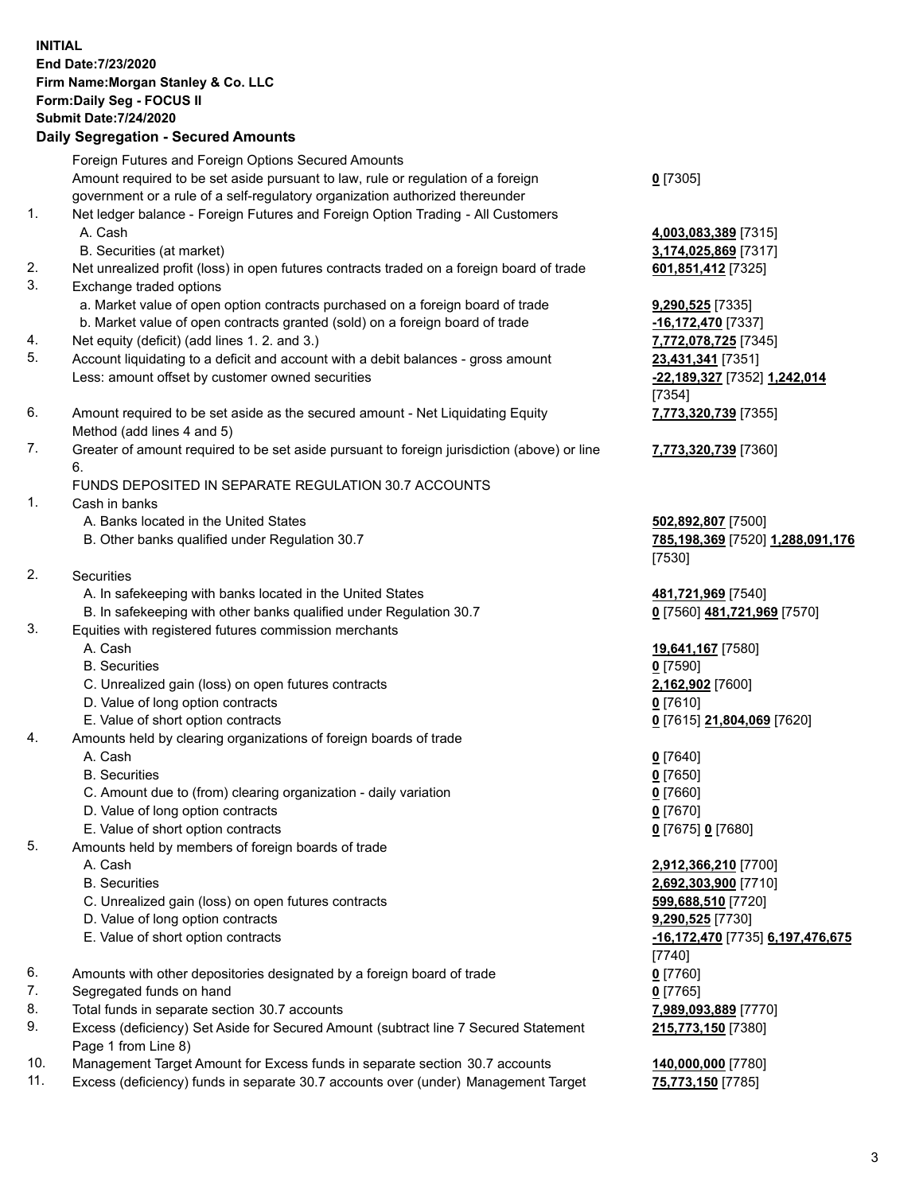## **INITIAL End Date:7/23/2020 Firm Name:Morgan Stanley & Co. LLC Form:Daily Seg - FOCUS II Submit Date:7/24/2020 Daily Segregation - Secured Amounts** Foreign Futures and Foreign Options Secured Amounts Amount required to be set aside pursuant to law, rule or regulation of a foreign government or a rule of a self-regulatory organization authorized thereunder **0** [7305] 1. Net ledger balance - Foreign Futures and Foreign Option Trading - All Customers A. Cash **4,003,083,389** [7315] B. Securities (at market) **3,174,025,869** [7317] 2. Net unrealized profit (loss) in open futures contracts traded on a foreign board of trade **601,851,412** [7325] 3. Exchange traded options a. Market value of open option contracts purchased on a foreign board of trade **9,290,525** [7335] b. Market value of open contracts granted (sold) on a foreign board of trade **-16,172,470** [7337] 4. Net equity (deficit) (add lines 1. 2. and 3.) **7,772,078,725** [7345] 5. Account liquidating to a deficit and account with a debit balances - gross amount **23,431,341** [7351] Less: amount offset by customer owned securities **-22,189,327** [7352] **1,242,014** [7354] 6. Amount required to be set aside as the secured amount - Net Liquidating Equity Method (add lines 4 and 5) **7,773,320,739** [7355] 7. Greater of amount required to be set aside pursuant to foreign jurisdiction (above) or line 6. **7,773,320,739** [7360] FUNDS DEPOSITED IN SEPARATE REGULATION 30.7 ACCOUNTS 1. Cash in banks A. Banks located in the United States **502,892,807** [7500] B. Other banks qualified under Regulation 30.7 **785,198,369** [7520] **1,288,091,176** [7530] 2. Securities A. In safekeeping with banks located in the United States **481,721,969** [7540] B. In safekeeping with other banks qualified under Regulation 30.7 **0** [7560] **481,721,969** [7570] 3. Equities with registered futures commission merchants A. Cash **19,641,167** [7580] B. Securities **0** [7590] C. Unrealized gain (loss) on open futures contracts **2,162,902** [7600] D. Value of long option contracts **0** [7610] E. Value of short option contracts **0** [7615] **21,804,069** [7620] 4. Amounts held by clearing organizations of foreign boards of trade A. Cash **0** [7640] B. Securities **0** [7650] C. Amount due to (from) clearing organization - daily variation **0** [7660] D. Value of long option contracts **0** [7670] E. Value of short option contracts **0** [7675] **0** [7680] 5. Amounts held by members of foreign boards of trade A. Cash **2,912,366,210** [7700] B. Securities **2,692,303,900** [7710] C. Unrealized gain (loss) on open futures contracts **599,688,510** [7720] D. Value of long option contracts **9,290,525** [7730] E. Value of short option contracts **-16,172,470** [7735] **6,197,476,675** [7740] 6. Amounts with other depositories designated by a foreign board of trade **0** [7760] 7. Segregated funds on hand **0** [7765] 8. Total funds in separate section 30.7 accounts **7,989,093,889** [7770] 9. Excess (deficiency) Set Aside for Secured Amount (subtract line 7 Secured Statement **215,773,150** [7380]

- Page 1 from Line 8) 10. Management Target Amount for Excess funds in separate section 30.7 accounts **140,000,000** [7780]
- 11. Excess (deficiency) funds in separate 30.7 accounts over (under) Management Target **75,773,150** [7785]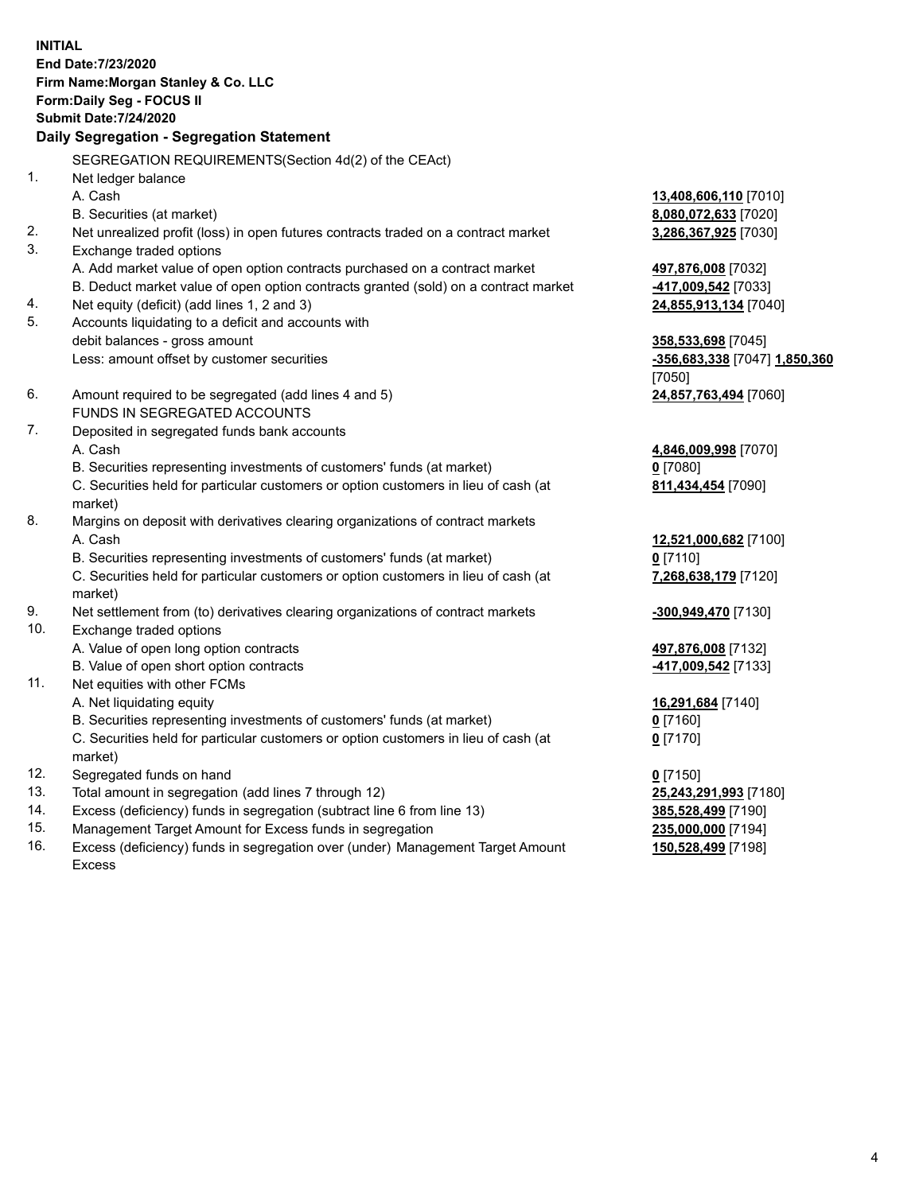**INITIAL End Date:7/23/2020 Firm Name:Morgan Stanley & Co. LLC Form:Daily Seg - FOCUS II Submit Date:7/24/2020 Daily Segregation - Segregation Statement** SEGREGATION REQUIREMENTS(Section 4d(2) of the CEAct) 1. Net ledger balance A. Cash **13,408,606,110** [7010] B. Securities (at market) **8,080,072,633** [7020] 2. Net unrealized profit (loss) in open futures contracts traded on a contract market **3,286,367,925** [7030] 3. Exchange traded options A. Add market value of open option contracts purchased on a contract market **497,876,008** [7032] B. Deduct market value of open option contracts granted (sold) on a contract market **-417,009,542** [7033] 4. Net equity (deficit) (add lines 1, 2 and 3) **24,855,913,134** [7040] 5. Accounts liquidating to a deficit and accounts with debit balances - gross amount **358,533,698** [7045] Less: amount offset by customer securities **-356,683,338** [7047] **1,850,360** [7050] 6. Amount required to be segregated (add lines 4 and 5) **24,857,763,494** [7060] FUNDS IN SEGREGATED ACCOUNTS 7. Deposited in segregated funds bank accounts A. Cash **4,846,009,998** [7070] B. Securities representing investments of customers' funds (at market) **0** [7080] C. Securities held for particular customers or option customers in lieu of cash (at market) **811,434,454** [7090] 8. Margins on deposit with derivatives clearing organizations of contract markets A. Cash **12,521,000,682** [7100] B. Securities representing investments of customers' funds (at market) **0** [7110] C. Securities held for particular customers or option customers in lieu of cash (at market) **7,268,638,179** [7120] 9. Net settlement from (to) derivatives clearing organizations of contract markets **-300,949,470** [7130] 10. Exchange traded options A. Value of open long option contracts **497,876,008** [7132] B. Value of open short option contracts **-417,009,542** [7133] 11. Net equities with other FCMs A. Net liquidating equity **16,291,684** [7140] B. Securities representing investments of customers' funds (at market) **0** [7160] C. Securities held for particular customers or option customers in lieu of cash (at market) **0** [7170] 12. Segregated funds on hand **0** [7150] 13. Total amount in segregation (add lines 7 through 12) **25,243,291,993** [7180] 14. Excess (deficiency) funds in segregation (subtract line 6 from line 13) **385,528,499** [7190] 15. Management Target Amount for Excess funds in segregation **235,000,000** [7194]

16. Excess (deficiency) funds in segregation over (under) Management Target Amount Excess

**150,528,499** [7198]